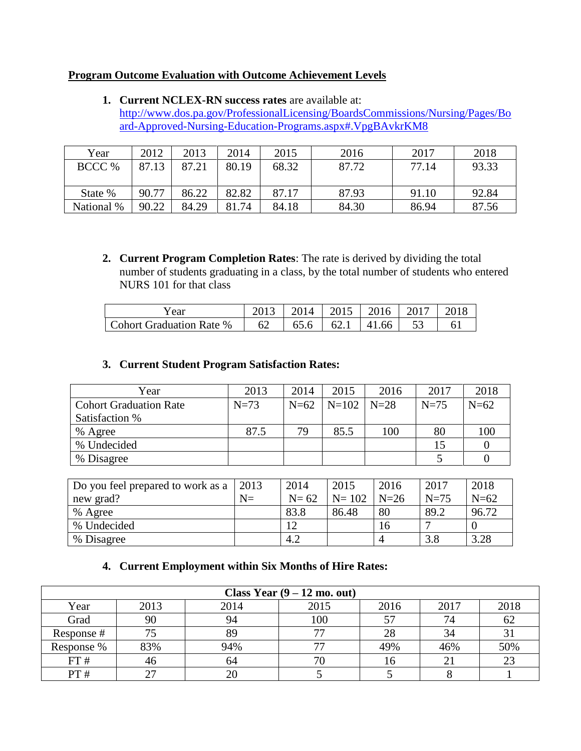## **Program Outcome Evaluation with Outcome Achievement Levels**

**1. Current NCLEX-RN success rates** are available at: [http://www.dos.pa.gov/ProfessionalLicensing/BoardsCommissions/Nursing/Pages/Bo](http://www.dos.pa.gov/ProfessionalLicensing/BoardsCommissions/Nursing/Pages/Board-Approved-Nursing-Education-Programs.aspx#.VpgBAvkrKM8) [ard-Approved-Nursing-Education-Programs.aspx#.VpgBAvkrKM8](http://www.dos.pa.gov/ProfessionalLicensing/BoardsCommissions/Nursing/Pages/Board-Approved-Nursing-Education-Programs.aspx#.VpgBAvkrKM8)

| Year       | 2012  | 2013  | 2014  | 2015  | 2016  | 2017  | 2018  |
|------------|-------|-------|-------|-------|-------|-------|-------|
| BCCC %     | 87.13 | 87.21 | 80.19 | 68.32 | 87.72 | 77.14 | 93.33 |
|            |       |       |       |       |       |       |       |
| State %    | 90.77 | 86.22 | 82.82 | 87.17 | 87.93 | 91.10 | 92.84 |
| National % | 90.22 | 84.29 | 81.74 | 84.18 | 84.30 | 86.94 | 87.56 |

**2. Current Program Completion Rates**: The rate is derived by dividing the total number of students graduating in a class, by the total number of students who entered NURS 101 for that class

| Y ear                           |    |  | 2014   2015   2016   2017   2018 |  |
|---------------------------------|----|--|----------------------------------|--|
| <b>Cohort Graduation Rate %</b> | 62 |  | $65.6$   62.1   41.66   :        |  |

## **3. Current Student Program Satisfaction Rates:**

| Year                          | 2013   | 2014   | 2015    | 2016   | 2017   | 2018   |
|-------------------------------|--------|--------|---------|--------|--------|--------|
| <b>Cohort Graduation Rate</b> | $N=73$ | $N=62$ | $N=102$ | $N=28$ | $N=75$ | $N=62$ |
| Satisfaction %                |        |        |         |        |        |        |
| % Agree                       | 87.5   | 79     | 85.5    | 100    | 80     | 100    |
| % Undecided                   |        |        |         |        |        |        |
| % Disagree                    |        |        |         |        |        |        |

| Do you feel prepared to work as a | 2013  | 2014   | 2015      | 2016   | 2017   | 2018   |
|-----------------------------------|-------|--------|-----------|--------|--------|--------|
| new grad?                         | $N =$ | $N=62$ | $N = 102$ | $N=26$ | $N=75$ | $N=62$ |
| % Agree                           |       | 83.8   | 86.48     | 80     | 89.2   | 96.72  |
| % Undecided                       |       |        |           | 16     |        |        |
| % Disagree                        |       | 4.2    |           |        | 3.8    | 3.28   |

## **4. Current Employment within Six Months of Hire Rates:**

| Class Year $(9 - 12 \text{ mo.}$ out) |          |      |      |      |      |      |  |  |
|---------------------------------------|----------|------|------|------|------|------|--|--|
| Year                                  | 2013     | 2014 | 2015 | 2016 | 2017 | 2018 |  |  |
| Grad                                  | 90       | 94   | 100  | 57   |      | 62   |  |  |
| Response#                             |          | 89   |      | 28   | 34   | 31   |  |  |
| Response %                            | 83%      | 94%  |      | 49%  | 46%  | 50%  |  |  |
| FT#                                   | 46       | 64   |      | 16   |      | 23   |  |  |
| PT#                                   | າາ<br>∠. |      |      |      |      |      |  |  |